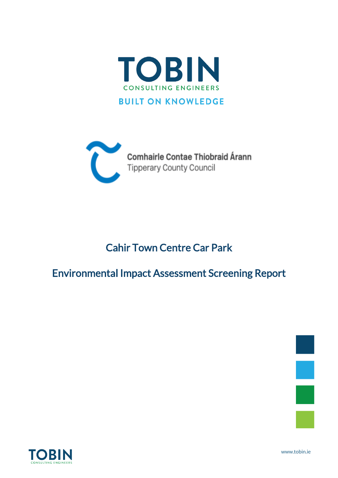



# Cahir Town Centre Car Park

# Environmental Impact Assessment Screening Report





www.tobin.ie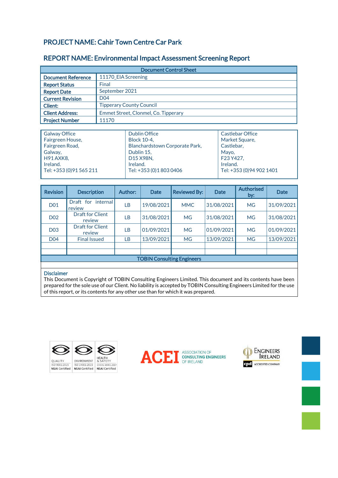## PROJECT NAME: Cahir Town Centre Car Park

### REPORT NAME: Environmental Impact Assessment Screening Report

| <b>Document Control Sheet</b> |                                      |  |
|-------------------------------|--------------------------------------|--|
| <b>Document Reference</b>     | 11170 EIA Screening                  |  |
| <b>Report Status</b>          | Final                                |  |
| <b>Report Date</b>            | September 2021                       |  |
| <b>Current Revision</b>       | D <sub>04</sub>                      |  |
| <b>Client:</b>                | <b>Tipperary County Council</b>      |  |
| <b>Client Address:</b>        | Emmet Street, Clonmel, Co. Tipperary |  |
| <b>Project Number</b>         | 11170                                |  |

| <b>Galway Office</b>     | <b>Dublin Office</b>           | <b>Castlebar Office</b>   |
|--------------------------|--------------------------------|---------------------------|
| Fairgreen House,         | <b>Block 10-4.</b>             | Market Square,            |
| Fairgreen Road,          | Blanchardstown Corporate Park, | Castlebar,                |
| Galway,                  | Dublin 15,                     | Mavo.                     |
| <b>H91 AXK8,</b>         | D15 X98N,                      | F23 Y427.                 |
| Ireland.                 | Ireland.                       | Ireland.                  |
| Tel: +353 (0) 91 565 211 | Tel: +353 (0) 1803 0406        | Tel: +353 (0) 94 902 1401 |
|                          |                                |                           |

| <b>Revision</b>                   | <b>Description</b>                | <b>Author:</b> | <b>Date</b> | <b>Reviewed By:</b> | <b>Date</b> | <b>Authorised</b><br>by: | <b>Date</b> |
|-----------------------------------|-----------------------------------|----------------|-------------|---------------------|-------------|--------------------------|-------------|
| <b>D01</b>                        | internal l<br>Draft for<br>review | LВ             | 19/08/2021  | <b>MMC</b>          | 31/08/2021  | <b>MG</b>                | 31/09/2021  |
| D <sub>02</sub>                   | Draft for Client<br>review        | LB.            | 31/08/2021  | <b>MG</b>           | 31/08/2021  | <b>MG</b>                | 31/08/2021  |
| <b>D03</b>                        | <b>Draft for Client</b><br>review | LВ             | 01/09/2021  | <b>MG</b>           | 01/09/2021  | <b>MG</b>                | 01/09/2021  |
| <b>D04</b>                        | <b>Final Issued</b>               | LВ             | 13/09/2021  | <b>MG</b>           | 13/09/2021  | <b>MG</b>                | 13/09/2021  |
|                                   |                                   |                |             |                     |             |                          |             |
|                                   |                                   |                |             |                     |             |                          |             |
| <b>TOBIN Consulting Engineers</b> |                                   |                |             |                     |             |                          |             |

#### Disclaimer

This Document is Copyright of TOBIN Consulting Engineers Limited. This document and its contents have been prepared for the sole use of our Client. No liability is accepted by TOBIN Consulting Engineers Limited for the use of this report, or its contents for any other use than for which it was prepared.







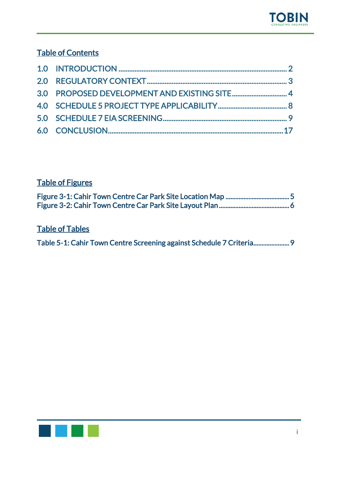## Table of Contents

## Table of Figures

## Table of Tables

| Table 5-1: Cahir Town Centre Screening against Schedule 7 Criteria 9 |  |
|----------------------------------------------------------------------|--|
|----------------------------------------------------------------------|--|

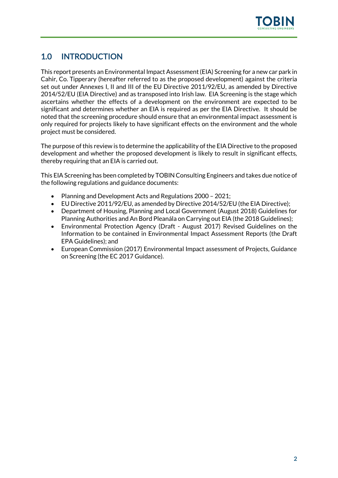

## <span id="page-3-0"></span>1.0 INTRODUCTION

This report presents an Environmental Impact Assessment (EIA) Screening for a new car park in Cahir, Co. Tipperary (hereafter referred to as the proposed development) against the criteria set out under Annexes I, II and III of the EU Directive 2011/92/EU, as amended by Directive 2014/52/EU (EIA Directive) and as transposed into Irish law. EIA Screening is the stage which ascertains whether the effects of a development on the environment are expected to be significant and determines whether an EIA is required as per the EIA Directive. It should be noted that the screening procedure should ensure that an environmental impact assessment is only required for projects likely to have significant effects on the environment and the whole project must be considered.

The purpose of this review is to determine the applicability of the EIA Directive to the proposed development and whether the proposed development is likely to result in significant effects, thereby requiring that an EIA is carried out.

This EIA Screening has been completed by TOBIN Consulting Engineers and takes due notice of the following regulations and guidance documents:

- Planning and Development Acts and Regulations 2000 2021;
- EU Directive 2011/92/EU, as amended by Directive 2014/52/EU (the EIA Directive);
- Department of Housing, Planning and Local Government (August 2018) Guidelines for Planning Authorities and An Bord Pleanála on Carrying out EIA (the 2018 Guidelines);
- Environmental Protection Agency (Draft August 2017) Revised Guidelines on the Information to be contained in Environmental Impact Assessment Reports (the Draft EPA Guidelines); and
- European Commission (2017) Environmental Impact assessment of Projects, Guidance on Screening (the EC 2017 Guidance).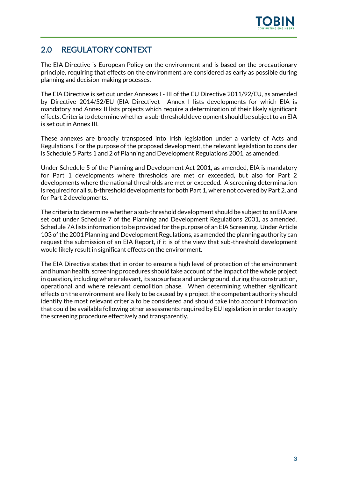

## <span id="page-4-0"></span>2.0 REGULATORY CONTEXT

The EIA Directive is European Policy on the environment and is based on the precautionary principle, requiring that effects on the environment are considered as early as possible during planning and decision-making processes.

The EIA Directive is set out under Annexes I - III of the EU Directive 2011/92/EU, as amended by Directive 2014/52/EU (EIA Directive). Annex I lists developments for which EIA is mandatory and Annex II lists projects which require a determination of their likely significant effects.Criteria to determine whether a sub-threshold development should be subject to an EIA is set out in Annex III.

These annexes are broadly transposed into Irish legislation under a variety of Acts and Regulations. For the purpose of the proposed development, the relevant legislation to consider is Schedule 5 Parts 1 and 2 of Planning and Development Regulations 2001, as amended.

Under Schedule 5 of the Planning and Development Act 2001, as amended, EIA is mandatory for Part 1 developments where thresholds are met or exceeded, but also for Part 2 developments where the national thresholds are met or exceeded. A screening determination is required for all sub-threshold developments for both Part 1, where not covered by Part 2, and for Part 2 developments.

The criteria to determine whether a sub-threshold development should be subject to an EIA are set out under Schedule 7 of the Planning and Development Regulations 2001, as amended. Schedule 7A lists information to be provided for the purpose of an EIA Screening. Under Article 103 of the 2001 Planning and Development Regulations, as amended the planning authority can request the submission of an EIA Report, if it is of the view that sub-threshold development would likely result in significant effects on the environment.

The EIA Directive states that in order to ensure a high level of protection of the environment and human health, screening procedures should take account of the impact of the whole project in question, including where relevant, its subsurface and underground, during the construction, operational and where relevant demolition phase. When determining whether significant effects on the environment are likely to be caused by a project, the competent authority should identify the most relevant criteria to be considered and should take into account information that could be available following other assessments required by EU legislation in order to apply the screening procedure effectively and transparently.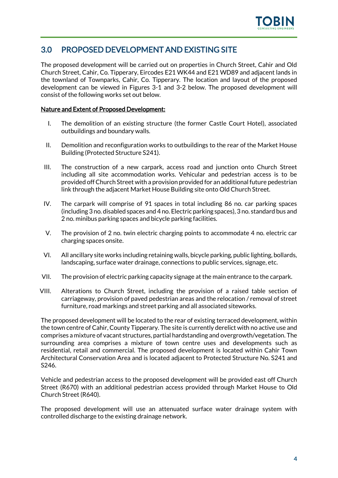

## <span id="page-5-0"></span>3.0 PROPOSED DEVELOPMENT AND EXISTING SITE

The proposed development will be carried out on properties in Church Street, Cahir and Old Church Street, Cahir, Co. Tipperary, Eircodes E21 WK44 and E21 WD89 and adjacent lands in the townland of Townparks, Cahir, Co. Tipperary. The location and layout of the proposed development can be viewed in Figures 3-1 and 3-2 below. The proposed development will consist of the following works set out below.

#### Nature and Extent of Proposed Development:

- I. The demolition of an existing structure (the former Castle Court Hotel), associated outbuildings and boundary walls.
- II. Demolition and reconfiguration works to outbuildings to the rear of the Market House Building (Protected Structure S241).
- III. The construction of a new carpark, access road and junction onto Church Street including all site accommodation works. Vehicular and pedestrian access is to be provided off Church Street with a provision provided for an additional future pedestrian link through the adjacent Market House Building site onto Old Church Street.
- IV. The carpark will comprise of 91 spaces in total including 86 no. car parking spaces (including 3 no. disabled spaces and 4 no. Electric parking spaces), 3 no. standard bus and 2 no. minibus parking spaces and bicycle parking facilities.
- V. The provision of 2 no. twin electric charging points to accommodate 4 no. electric car charging spaces onsite.
- VI. All ancillary site works including retaining walls, bicycle parking, public lighting, bollards, landscaping, surface water drainage, connections to public services, signage, etc.
- VII. The provision of electric parking capacity signage at the main entrance to the carpark.
- VIII. Alterations to Church Street, including the provision of a raised table section of carriageway, provision of paved pedestrian areas and the relocation / removal of street furniture, road markings and street parking and all associated siteworks.

The proposed development will be located to the rear of existing terraced development, within the town centre of Cahir, County Tipperary. The site is currently derelict with no active use and comprises a mixture of vacant structures, partial hardstanding and overgrowth/vegetation. The surrounding area comprises a mixture of town centre uses and developments such as residential, retail and commercial. The proposed development is located within Cahir Town Architectural Conservation Area and is located adjacent to Protected Structure No. S241 and S246.

Vehicle and pedestrian access to the proposed development will be provided east off Church Street (R670) with an additional pedestrian access provided through Market House to Old Church Street (R640).

The proposed development will use an attenuated surface water drainage system with controlled discharge to the existing drainage network.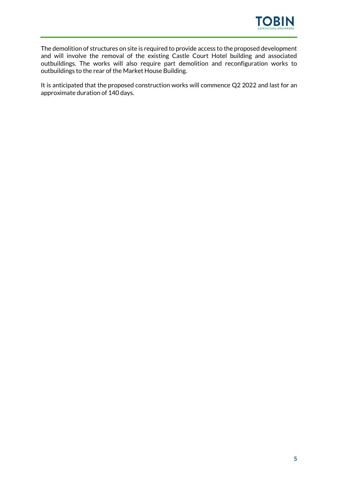

The demolition of structures on site is required to provide access to the proposed development and will involve the removal of the existing Castle Court Hotel building and associated outbuildings. The works will also require part demolition and reconfiguration works to outbuildings to the rear of the Market House Building.

It is anticipated that the proposed construction works will commence Q2 2022 and last for an approximate duration of 140 days.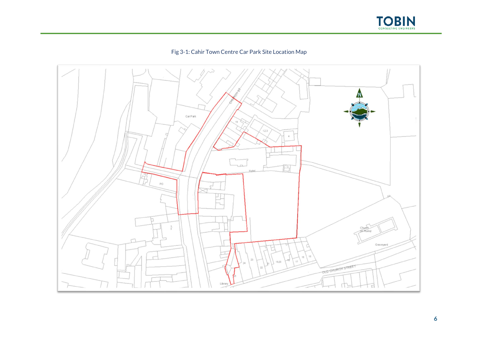



<span id="page-7-0"></span>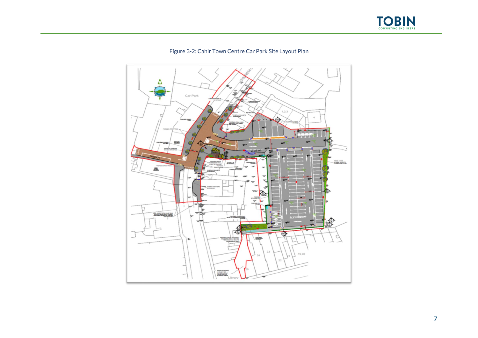



<span id="page-8-0"></span>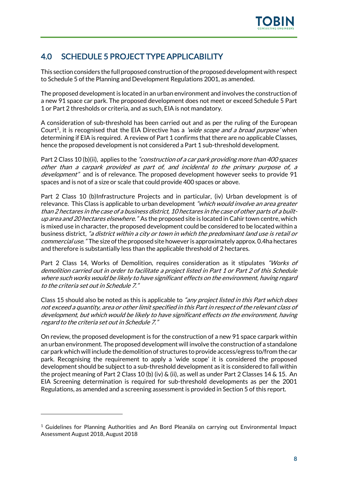

## <span id="page-9-0"></span>4.0 SCHEDULE 5 PROJECT TYPE APPLICABILITY

This section considers the full proposed construction ofthe proposed development with respect to Schedule 5 of the Planning and Development Regulations 2001, as amended.

The proposed development is located in an urban environment and involves the construction of a new 91 space car park. The proposed development does not meet or exceed Schedule 5 Part 1 or Part 2 thresholds or criteria, and as such, EIA is not mandatory.

A consideration of sub-threshold has been carried out and as per the ruling of the European Court<sup>1</sup>, it is recognised that the EIA Directive has a *'wide scope and a broad purpose'* when determining if EIA is required. A review of Part 1 confirms that there are no applicable Classes, hence the proposed development is not considered a Part 1 sub-threshold development.

Part 2 Class 10 (b)(ii), applies to the "construction of a car park providing more than 400 spaces other than a carpark provided as part of, and incidental to the primary purpose of, a development" and is of relevance. The proposed development however seeks to provide 91 spaces and is not of a size or scale that could provide 400 spaces or above.

Part 2 Class 10 (b)Infrastructure Projects and in particular, (iv) Urban development is of relevance. This Class is applicable to urban development "which would involve an area greater than 2 hectares in the case of a business district, 10 hectares in the case of other parts of a builtup area and 20 hectares elsewhere." As the proposed site is located in Cahir town centre, which is mixed use in character, the proposed development could be considered to be located within a business district, "a district within a city or town in which the predominant land use is retail o<sup>r</sup> commercial use." The size of the proposed site however is approximately approx. 0.4ha hectares and therefore is substantially less than the applicable threshold of 2 hectares.

Part 2 Class 14, Works of Demolition, requires consideration as it stipulates "Works of demolition carried out in order to facilitate a project listed in Part 1 or Part 2 of this Schedule where such works would be likely to have significant effects on the environment, having regard to the criteria set out in Schedule 7."

Class 15 should also be noted as this is applicable to "any project listed in this Part which does not exceed a quantity, area or other limit specified in this Part in respect of the relevant class of development, but which would be likely to have significant effects on the environment, having regard to the criteria set out in Schedule 7."

On review, the proposed development is for the construction of a new 91 space carpark within an urban environment. The proposed development will involve the construction of a standalone car park which will include the demolition of structures to provide access/egress to/from the car park. Recognising the requirement to apply a 'wide scope' it is considered the proposed development should be subject to a sub-threshold development as it is considered to fall within the project meaning of Part 2 Class 10 (b) (iv) & (ii), as well as under Part 2 Classes 14 & 15. An EIA Screening determination is required for sub-threshold developments as per the 2001 Regulations, as amended and a screening assessment is provided in Section 5 of this report.

<sup>&</sup>lt;sup>1</sup> Guidelines for Planning Authorities and An Bord Pleanála on carrying out Environmental Impact Assessment August 2018, August 2018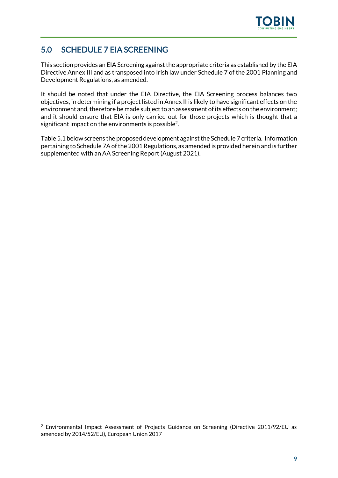

## <span id="page-10-0"></span>5.0 SCHEDULE 7 EIA SCREENING

This section provides an EIA Screening against the appropriate criteria as established by the EIA Directive Annex III and as transposed into Irish law under Schedule 7 of the 2001 Planning and Development Regulations, as amended.

It should be noted that under the EIA Directive, the EIA Screening process balances two objectives, in determining if a project listed in Annex II is likely to have significant effects on the environment and, therefore be made subject to an assessment of its effects on the environment; and it should ensure that EIA is only carried out for those projects which is thought that a significant impact on the environments is possible<sup>2</sup>.

Table 5.1 below screens the proposed development against the Schedule 7 criteria. Information pertaining to Schedule 7A of the 2001 Regulations, as amended is provided herein and is further supplemented with an AA Screening Report (August 2021).

 $2$  Environmental Impact Assessment of Projects Guidance on Screening (Directive 2011/92/EU as amended by 2014/52/EU), European Union 2017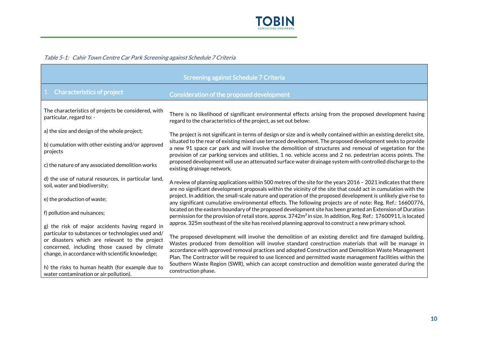

#### Table 5-1: Cahir Town Centre Car Park Screening against Schedule 7 Criteria

<span id="page-11-0"></span>

| <b>Screening against Schedule 7 Criteria</b>                                                                                                                                                             |                                                                                                                                                                                                                                                                                                                                                                                                                                     |  |
|----------------------------------------------------------------------------------------------------------------------------------------------------------------------------------------------------------|-------------------------------------------------------------------------------------------------------------------------------------------------------------------------------------------------------------------------------------------------------------------------------------------------------------------------------------------------------------------------------------------------------------------------------------|--|
| 1. Characteristics of project                                                                                                                                                                            | Consideration of the proposed development                                                                                                                                                                                                                                                                                                                                                                                           |  |
| The characteristics of projects be considered, with<br>particular, regard to: -                                                                                                                          | There is no likelihood of significant environmental effects arising from the proposed development having<br>regard to the characteristics of the project, as set out below:                                                                                                                                                                                                                                                         |  |
| a) the size and design of the whole project;                                                                                                                                                             | The project is not significant in terms of design or size and is wholly contained within an existing derelict site,                                                                                                                                                                                                                                                                                                                 |  |
| b) cumulation with other existing and/or approved<br>projects                                                                                                                                            | situated to the rear of existing mixed use terraced development. The proposed development seeks to provide<br>a new 91 space car park and will involve the demolition of structures and removal of vegetation for the<br>provision of car parking services and utilities, 1 no. vehicle access and 2 no. pedestrian access points. The                                                                                              |  |
| c) the nature of any associated demolition works                                                                                                                                                         | proposed development will use an attenuated surface water drainage system with controlled discharge to the<br>existing drainage network.                                                                                                                                                                                                                                                                                            |  |
| d) the use of natural resources, in particular land,<br>soil, water and biodiversity;                                                                                                                    | A review of planning applications within 500 metres of the site for the years 2016 - 2021 indicates that there<br>are no significant development proposals within the vicinity of the site that could act in cumulation with the                                                                                                                                                                                                    |  |
| e) the production of waste;                                                                                                                                                                              | project. In addition, the small-scale nature and operation of the proposed development is unlikely give rise to<br>any significant cumulative environmental effects. The following projects are of note: Reg. Ref.: 16600776,                                                                                                                                                                                                       |  |
| f) pollution and nuisances;                                                                                                                                                                              | located on the eastern boundary of the proposed development site has been granted an Extension of Duration<br>permission for the provision of retail store, approx. 3742m <sup>2</sup> in size. In addition, Reg. Ref.: 17600911, is located                                                                                                                                                                                        |  |
| g) the risk of major accidents having regard in                                                                                                                                                          | approx. 325m southeast of the site has received planning approval to construct a new primary school.                                                                                                                                                                                                                                                                                                                                |  |
| particular to substances or technologies used and/<br>or disasters which are relevant to the project<br>concerned, including those caused by climate<br>change, in accordance with scientific knowledge; | The proposed development will involve the demolition of an existing derelict and fire damaged building.<br>Wastes produced from demolition will involve standard construction materials that will be manage in<br>accordance with approved removal practices and adopted Construction and Demolition Waste Management<br>Plan. The Contractor will be required to use licenced and permitted waste management facilities within the |  |
| h) the risks to human health (for example due to<br>water contamination or air pollution).                                                                                                               | Southern Waste Region (SWR), which can accept construction and demolition waste generated during the<br>construction phase.                                                                                                                                                                                                                                                                                                         |  |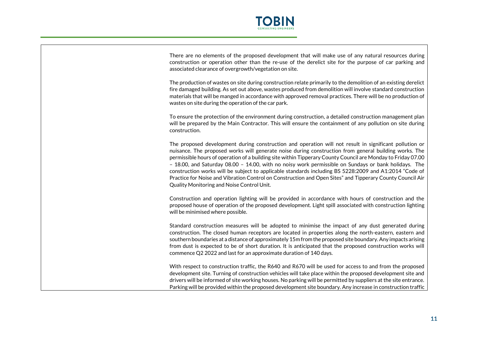

There are no elements of the proposed development that will make use of any natural resources during construction or operation other than the re-use of the derelict site for the purpose of car parking and associated clearance of overgrowth/vegetation on site.

The production of wastes on site during construction relate primarily to the demolition of an existing derelict fire damaged building. As set out above, wastes produced from demolition will involve standard construction materials that will be manged in accordance with approved removal practices. There will be no production of wastes on site during the operation of the car park.

To ensure the protection of the environment during construction, a detailed construction management plan will be prepared by the Main Contractor. This will ensure the containment of any pollution on site during construction.

The proposed development during construction and operation will not result in significant pollution or nuisance. The proposed works will generate noise during construction from general building works. The permissible hours of operation of a building site within Tipperary County Council are Monday to Friday 07.00 – 18.00, and Saturday 08.00 – 14.00, with no noisy work permissible on Sundays or bank holidays. The construction works will be subject to applicable standards including BS 5228:2009 and A1:2014 "Code of Practice for Noise and Vibration Control on Construction and Open Sites" and Tipperary County Council Air Quality Monitoring and Noise Control Unit.

Construction and operation lighting will be provided in accordance with hours of construction and the proposed house of operation of the proposed development. Light spill associated with construction lighting will be minimised where possible.

Standard construction measures will be adopted to minimise the impact of any dust generated during construction. The closed human receptors are located in properties along the north-eastern, eastern and southern boundaries at a distance of approximately 15m from the proposed site boundary. Any impacts arising from dust is expected to be of short duration. It is anticipated that the proposed construction works will commence Q2 2022 and last for an approximate duration of 140 days.

With respect to construction traffic, the R640 and R670 will be used for access to and from the proposed development site. Turning of construction vehicles will take place within the proposed development site and drivers will be informed of site working houses. No parking will be permitted by suppliers at the site entrance. Parking will be provided within the proposed development site boundary. Any increase in construction traffic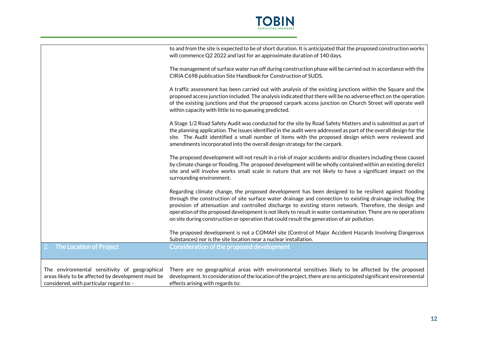

|                                                                                                                                                 | to and from the site is expected to be of short duration. It is anticipated that the proposed construction works<br>will commence Q2 2022 and last for an approximate duration of 140 days.                                                                                                                                                                                                                                                                                                                                                  |
|-------------------------------------------------------------------------------------------------------------------------------------------------|----------------------------------------------------------------------------------------------------------------------------------------------------------------------------------------------------------------------------------------------------------------------------------------------------------------------------------------------------------------------------------------------------------------------------------------------------------------------------------------------------------------------------------------------|
|                                                                                                                                                 | The management of surface water run off during construction phase will be carried out in accordance with the<br>CIRIA C698 publication Site Handbook for Construction of SUDS.                                                                                                                                                                                                                                                                                                                                                               |
|                                                                                                                                                 | A traffic assessment has been carried out with analysis of the existing junctions within the Square and the<br>proposed access junction included. The analysis indicated that there will be no adverse effect on the operation<br>of the existing junctions and that the proposed carpark access junction on Church Street will operate well<br>within capacity with little to no queueing predicted.                                                                                                                                        |
|                                                                                                                                                 | A Stage 1/2 Road Safety Audit was conducted for the site by Road Safety Matters and is submitted as part of<br>the planning application. The issues identified in the audit were addressed as part of the overall design for the<br>site. The Audit identified a small number of items with the proposed design which were reviewed and<br>amendments incorporated into the overall design strategy for the carpark.                                                                                                                         |
|                                                                                                                                                 | The proposed development will not result in a risk of major accidents and/or disasters including those caused<br>by climate change or flooding. The proposed development will be wholly contained within an existing derelict<br>site and will involve works small scale in nature that are not likely to have a significant impact on the<br>surrounding environment.                                                                                                                                                                       |
|                                                                                                                                                 | Regarding climate change, the proposed development has been designed to be resilient against flooding<br>through the construction of site surface water drainage and connection to existing drainage including the<br>provision of attenuation and controlled discharge to existing storm network. Therefore, the design and<br>operation of the proposed development is not likely to result in water contamination. There are no operations<br>on site during construction or operation that could result the generation of air pollution. |
|                                                                                                                                                 | The proposed development is not a COMAH site (Control of Major Accident Hazards Involving Dangerous<br>Substances) nor is the site location near a nuclear installation.                                                                                                                                                                                                                                                                                                                                                                     |
| 2. The Location of Project                                                                                                                      | <b>Consideration of the proposed development</b>                                                                                                                                                                                                                                                                                                                                                                                                                                                                                             |
| The environmental sensitivity of geographical<br>areas likely to be affected by development must be<br>considered, with particular regard to: - | There are no geographical areas with environmental sensitives likely to be affected by the proposed<br>development. In consideration of the location of the project, there are no anticipated significant environmental<br>effects arising with regards to:                                                                                                                                                                                                                                                                                  |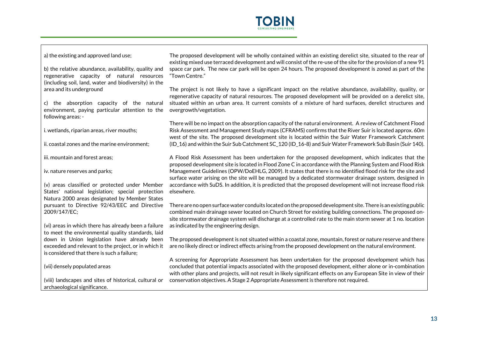

a) the existing and approved land use;

b) the relative abundance, availability, quality and regenerative capacity of natural resources (including soil, land, water and biodiversity) in the area and its underground

c) the absorption capacity of the natural environment, paying particular attention to the following areas: -

i. wetlands, riparian areas, river mouths;

ii. coastal zones and the marine environment;

iii. mountain and forest areas;

iv. nature reserves and parks;

(v) areas classified or protected under Member States' national legislation; special protection Natura 2000 areas designated by Member States pursuant to Directive 92/43/EEC and Directive 2009/147/EC;

(vi) areas in which there has already been a failure to meet the environmental quality standards, laid down in Union legislation have already been exceeded and relevant to the project, or in which it is considered that there is such a failure;

(vii) densely populated areas

(viii) landscapes and sites of historical, cultural or archaeological significance.

The proposed development will be wholly contained within an existing derelict site, situated to the rear of existing mixed use terraced development and will consist of the re-use of the site for the provision of a new 91 space car park. The new car park will be open 24 hours. The proposed development is zoned as part of the "Town Centre."

The project is not likely to have a significant impact on the relative abundance, availability, quality, or regenerative capacity of natural resources. The proposed development will be provided on a derelict site, situated within an urban area. It current consists of a mixture of hard surfaces, derelict structures and overgrowth/vegetation.

There will be no impact on the absorption capacity of the natural environment. A review of Catchment Flood Risk Assessment and Management Study maps (CFRAMS) confirms that the River Suir is located approx. 60m west of the site. The proposed development site is located within the Suir Water Framework Catchment (ID\_16) and within the Suir Sub Catchment SC\_120 (ID\_16-8) and Suir Water Framework Sub Basin (Suir 140).

A Flood Risk Assessment has been undertaken for the proposed development, which indicates that the proposed development site is located in Flood Zone C in accordance with the Planning System and Flood Risk Management Guidelines (OPW/DoEHLG, 2009). It states that there is no identified flood risk for the site and surface water arising on the site will be managed by a dedicated stormwater drainage system, designed in accordance with SuDS. In addition, it is predicted that the proposed development will not increase flood risk elsewhere.

There are no open surface water conduits located on the proposed development site. There is an existing public combined main drainage sewer located on Church Street for existing building connections. The proposed onsite stormwater drainage system will discharge at a controlled rate to the main storm sewer at 1 no. location as indicated by the engineering design.

The proposed development is not situated within a coastal zone, mountain, forest or nature reserve and there are no likely direct or indirect effects arising from the proposed development on the natural environment.

A screening for Appropriate Assessment has been undertaken for the proposed development which has concluded that potential impacts associated with the proposed development, either alone or in-combination with other plans and projects, will not result in likely significant effects on any European Site in view of their conservation objectives. A Stage 2 Appropriate Assessment is therefore not required.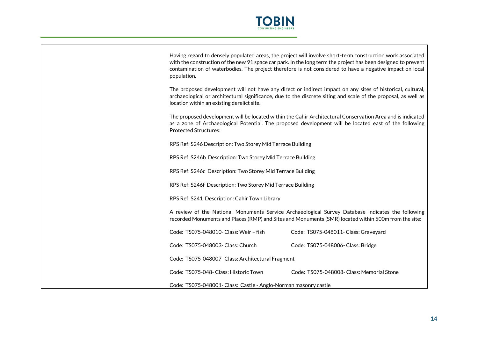

| Having regard to densely populated areas, the project will involve short-term construction work associated    |
|---------------------------------------------------------------------------------------------------------------|
| with the construction of the new 91 space car park. In the long term the project has been designed to prevent |
| contamination of waterbodies. The project therefore is not considered to have a negative impact on local      |
| population.                                                                                                   |

The proposed development will not have any direct or indirect impact on any sites of historical, cultural, archaeological or architectural significance, due to the discrete siting and scale of the proposal, as well as location within an existing derelict site.

The proposed development will be located within the Cahir Architectural Conservation Area and is indicated as a zone of Archaeological Potential. The proposed development will be located east of the following Protected Structures:

RPS Ref: S246 Description: Two Storey Mid Terrace Building

RPS Ref: S246b Description: Two Storey Mid Terrace Building

RPS Ref: S246c Description: Two Storey Mid Terrace Building

RPS Ref: S246f Description: Two Storey Mid Terrace Building

RPS Ref: S241 Description: Cahir Town Library

A review of the National Monuments Service Archaeological Survey Database indicates the following recorded Monuments and Places (RMP) and Sites and Monuments (SMR) located within 500m from the site:

| Code: TS075-048010- Class: Weir - fish                          | Code: TS075-048011- Class: Graveyard      |  |
|-----------------------------------------------------------------|-------------------------------------------|--|
| Code: TS075-048003- Class: Church                               | Code: TS075-048006- Class: Bridge         |  |
| Code: TS075-048007- Class: Architectural Fragment               |                                           |  |
| Code: TS075-048- Class: Historic Town                           | Code: TS075-048008- Class: Memorial Stone |  |
| Code: TS075-048001- Class: Castle - Anglo-Norman masonry castle |                                           |  |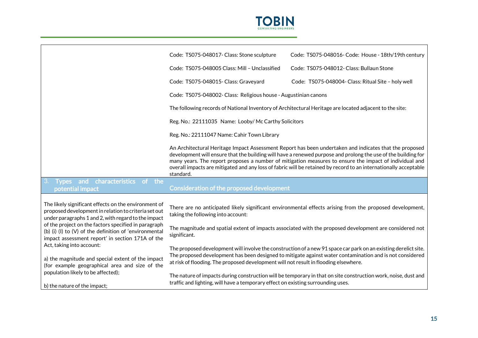

|                                                                                                                                                                                                                                                                                                                                                                                                                                                                               | Code: TS075-048017- Class: Stone sculpture                                                                                                                                                         | Code: TS075-048016- Code: House - 18th/19th century                                                                                                                                                                                                                                                                                                                                                                                                   |  |
|-------------------------------------------------------------------------------------------------------------------------------------------------------------------------------------------------------------------------------------------------------------------------------------------------------------------------------------------------------------------------------------------------------------------------------------------------------------------------------|----------------------------------------------------------------------------------------------------------------------------------------------------------------------------------------------------|-------------------------------------------------------------------------------------------------------------------------------------------------------------------------------------------------------------------------------------------------------------------------------------------------------------------------------------------------------------------------------------------------------------------------------------------------------|--|
|                                                                                                                                                                                                                                                                                                                                                                                                                                                                               | Code: TS075-048005 Class: Mill - Unclassified                                                                                                                                                      | Code: TS075-048012- Class: Bullaun Stone                                                                                                                                                                                                                                                                                                                                                                                                              |  |
|                                                                                                                                                                                                                                                                                                                                                                                                                                                                               | Code: TS075-048015- Class: Graveyard                                                                                                                                                               | Code: TS075-048004- Class: Ritual Site - holy well                                                                                                                                                                                                                                                                                                                                                                                                    |  |
|                                                                                                                                                                                                                                                                                                                                                                                                                                                                               | Code: TS075-048002- Class: Religious house - Augustinian canons                                                                                                                                    |                                                                                                                                                                                                                                                                                                                                                                                                                                                       |  |
|                                                                                                                                                                                                                                                                                                                                                                                                                                                                               |                                                                                                                                                                                                    | The following records of National Inventory of Architectural Heritage are located adjacent to the site:                                                                                                                                                                                                                                                                                                                                               |  |
|                                                                                                                                                                                                                                                                                                                                                                                                                                                                               | Reg. No.: 22111035 Name: Looby/Mc Carthy Solicitors                                                                                                                                                |                                                                                                                                                                                                                                                                                                                                                                                                                                                       |  |
|                                                                                                                                                                                                                                                                                                                                                                                                                                                                               | Reg. No.: 22111047 Name: Cahir Town Library                                                                                                                                                        |                                                                                                                                                                                                                                                                                                                                                                                                                                                       |  |
|                                                                                                                                                                                                                                                                                                                                                                                                                                                                               | standard.                                                                                                                                                                                          | An Architectural Heritage Impact Assessment Report has been undertaken and indicates that the proposed<br>development will ensure that the building will have a renewed purpose and prolong the use of the building for<br>many years. The report proposes a number of mitigation measures to ensure the impact of individual and<br>overall impacts are mitigated and any loss of fabric will be retained by record to an internationally acceptable |  |
| Types and characteristics<br>of the<br>potential impact                                                                                                                                                                                                                                                                                                                                                                                                                       | <b>Consideration of the proposed development</b>                                                                                                                                                   |                                                                                                                                                                                                                                                                                                                                                                                                                                                       |  |
| The likely significant effects on the environment of<br>proposed development in relation to criteria set out<br>under paragraphs 1 and 2, with regard to the impact<br>of the project on the factors specified in paragraph<br>(b) (i) (l) to (V) of the definition of 'environmental<br>impact assessment report' in section 171A of the<br>Act, taking into account:<br>a) the magnitude and special extent of the impact<br>(for example geographical area and size of the | taking the following into account:                                                                                                                                                                 | There are no anticipated likely significant environmental effects arising from the proposed development,                                                                                                                                                                                                                                                                                                                                              |  |
|                                                                                                                                                                                                                                                                                                                                                                                                                                                                               | The magnitude and spatial extent of impacts associated with the proposed development are considered not<br>significant.                                                                            |                                                                                                                                                                                                                                                                                                                                                                                                                                                       |  |
|                                                                                                                                                                                                                                                                                                                                                                                                                                                                               | at risk of flooding. The proposed development will not result in flooding elsewhere.                                                                                                               | The proposed development will involve the construction of a new 91 space car park on an existing derelict site.<br>The proposed development has been designed to mitigate against water contamination and is not considered                                                                                                                                                                                                                           |  |
| population likely to be affected);<br>b) the nature of the impact;                                                                                                                                                                                                                                                                                                                                                                                                            | The nature of impacts during construction will be temporary in that on site construction work, noise, dust and<br>traffic and lighting, will have a temporary effect on existing surrounding uses. |                                                                                                                                                                                                                                                                                                                                                                                                                                                       |  |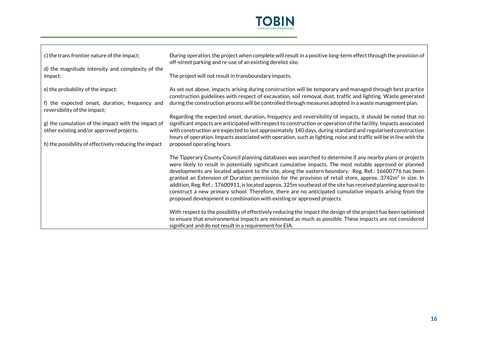

| c) the trans frontier nature of the impact;                                    | During operation, the project when complete will result in a positive long-term effect through the provision of<br>off-street parking and re-use of an existing derelict site.                                                                                                                                                                                                                                                                                                                                                                                                                                                                                                                                                                                     |
|--------------------------------------------------------------------------------|--------------------------------------------------------------------------------------------------------------------------------------------------------------------------------------------------------------------------------------------------------------------------------------------------------------------------------------------------------------------------------------------------------------------------------------------------------------------------------------------------------------------------------------------------------------------------------------------------------------------------------------------------------------------------------------------------------------------------------------------------------------------|
| d) the magnitude intensity and complexity of the<br>impact;                    | The project will not result in transboundary impacts.                                                                                                                                                                                                                                                                                                                                                                                                                                                                                                                                                                                                                                                                                                              |
| e) the probability of the impact;                                              | As set out above, impacts arising during construction will be temporary and managed through best practice<br>construction guidelines with respect of excavation, soil removal, dust, traffic and lighting. Waste generated                                                                                                                                                                                                                                                                                                                                                                                                                                                                                                                                         |
| f) the expected onset, duration, frequency and<br>reversibility of the impact; | during the construction process will be controlled through measures adopted in a waste management plan.                                                                                                                                                                                                                                                                                                                                                                                                                                                                                                                                                                                                                                                            |
| g) the cumulation of the impact with the impact of                             | Regarding the expected onset, duration, frequency and reversibility of impacts, it should be noted that no<br>significant impacts are anticipated with respect to construction or operation of the facility. Impacts associated                                                                                                                                                                                                                                                                                                                                                                                                                                                                                                                                    |
| other existing and/or approved projects;                                       | with construction are expected to last approximately 140 days, during standard and regularised construction<br>hours of operation. Impacts associated with operation, such as lighting, noise and traffic will be in line with the                                                                                                                                                                                                                                                                                                                                                                                                                                                                                                                                 |
| h) the possibility of effectively reducing the impact                          | proposed operating hours.                                                                                                                                                                                                                                                                                                                                                                                                                                                                                                                                                                                                                                                                                                                                          |
|                                                                                | The Tipperary County Council planning databases was searched to determine if any nearby plans or projects<br>were likely to result in potentially significant cumulative impacts. The most notable approved or planned<br>developments are located adjacent to the site, along the eastern boundary. Reg. Ref.: 16600776 has been<br>granted an Extension of Duration permission for the provision of retail store, approx. 3742m <sup>2</sup> in size. In<br>addition, Reg. Ref.: 17600911, is located approx. 325m southeast of the site has received planning approval to<br>construct a new primary school. Therefore, there are no anticipated cumulative impacts arising from the<br>proposed development in combination with existing or approved projects. |
|                                                                                | With respect to the possibility of effectively reducing the impact the design of the project has been optimised<br>to ensure that environmental impacts are minimised as much as possible. These impacts are not considered<br>significant and do not result in a requirement for EIA.                                                                                                                                                                                                                                                                                                                                                                                                                                                                             |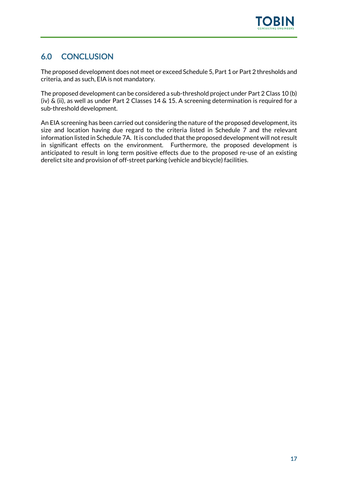

## <span id="page-18-0"></span>6.0 CONCLUSION

The proposed development does not meet or exceed Schedule 5, Part 1 or Part 2 thresholds and criteria, and as such, EIA is not mandatory.

The proposed development can be considered a sub-threshold project under Part 2 Class 10 (b) (iv) & (ii), as well as under Part 2 Classes 14 & 15. A screening determination is required for a sub-threshold development.

An EIA screening has been carried out considering the nature of the proposed development, its size and location having due regard to the criteria listed in Schedule 7 and the relevant information listed in Schedule 7A. It is concluded that the proposed development will not result in significant effects on the environment. Furthermore, the proposed development is anticipated to result in long term positive effects due to the proposed re-use of an existing derelict site and provision of off-street parking (vehicle and bicycle) facilities.